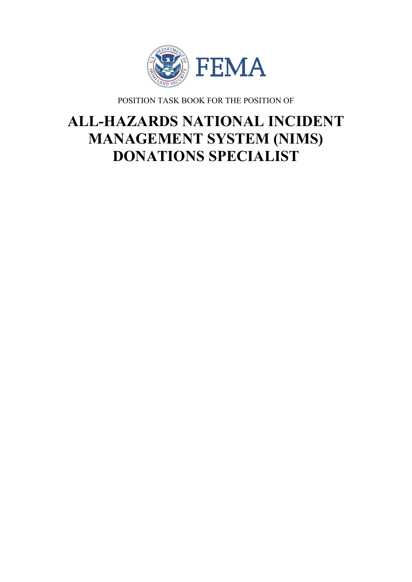

POSITION TASK BOOK FOR THE POSITION OF

# **ALL-HAZARDS NATIONAL INCIDENT MANAGEMENT SYSTEM (NIMS) DONATIONS SPECIALIST**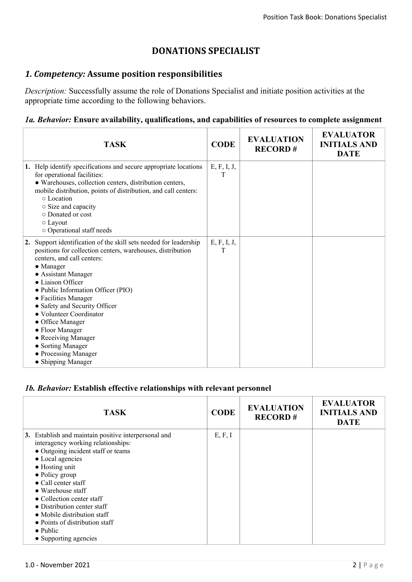# **DONATIONS SPECIALIST**

## *1. Competency:* **Assume position responsibilities**

*Description:* Successfully assume the role of Donations Specialist and initiate position activities at the appropriate time according to the following behaviors.

#### *1a. Behavior:* **Ensure availability, qualifications, and capabilities of resources to complete assignment**

| <b>TASK</b>                                                                                                                                                                                                                                                                                                                                                                                                                                                                                       | <b>CODE</b>      | <b>EVALUATION</b><br><b>RECORD#</b> | <b>EVALUATOR</b><br><b>INITIALS AND</b><br><b>DATE</b> |
|---------------------------------------------------------------------------------------------------------------------------------------------------------------------------------------------------------------------------------------------------------------------------------------------------------------------------------------------------------------------------------------------------------------------------------------------------------------------------------------------------|------------------|-------------------------------------|--------------------------------------------------------|
| 1. Help identify specifications and secure appropriate locations<br>for operational facilities:<br>• Warehouses, collection centers, distribution centers,<br>mobile distribution, points of distribution, and call centers:<br>○ Location<br>$\circ$ Size and capacity<br>○ Donated or cost<br>$\circ$ Layout<br>o Operational staff needs                                                                                                                                                       | E, F, I, J,<br>T |                                     |                                                        |
| 2. Support identification of the skill sets needed for leadership<br>positions for collection centers, warehouses, distribution<br>centers, and call centers:<br>$\bullet$ Manager<br>• Assistant Manager<br>$\bullet$ Liaison Officer<br>• Public Information Officer (PIO)<br>• Facilities Manager<br>• Safety and Security Officer<br>• Volunteer Coordinator<br>• Office Manager<br>• Floor Manager<br>• Receiving Manager<br>• Sorting Manager<br>• Processing Manager<br>• Shipping Manager | E, F, I, J,<br>Т |                                     |                                                        |

#### *1b. Behavior:* **Establish effective relationships with relevant personnel**

| <b>TASK</b>                                                                                                                                                                                                                                                                                                                                                                                                                                    | <b>CODE</b> | <b>EVALUATION</b><br><b>RECORD#</b> | <b>EVALUATOR</b><br><b>INITIALS AND</b><br><b>DATE</b> |
|------------------------------------------------------------------------------------------------------------------------------------------------------------------------------------------------------------------------------------------------------------------------------------------------------------------------------------------------------------------------------------------------------------------------------------------------|-------------|-------------------------------------|--------------------------------------------------------|
| 3. Establish and maintain positive interpersonal and<br>interagency working relationships:<br>• Outgoing incident staff or teams<br>• Local agencies<br>$\bullet$ Hosting unit<br>$\bullet$ Policy group<br>$\bullet$ Call center staff<br>$\bullet$ Warehouse staff<br>• Collection center staff<br>• Distribution center staff<br>• Mobile distribution staff<br>• Points of distribution staff<br>$\bullet$ Public<br>• Supporting agencies | E, F, I     |                                     |                                                        |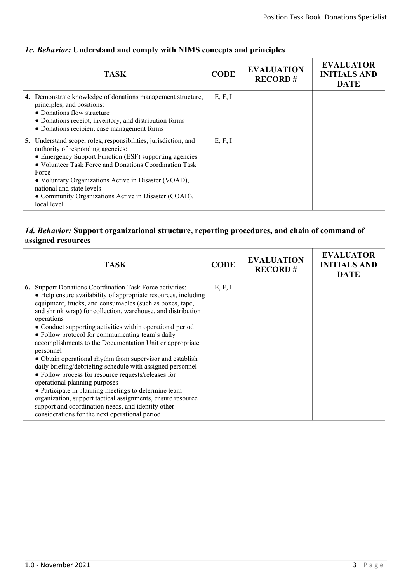#### *1c. Behavior:* **Understand and comply with NIMS concepts and principles**

| <b>TASK</b>                                                                                                                                                                                                                                                                                                                                                                                   | <b>CODE</b> | <b>EVALUATION</b><br><b>RECORD#</b> | <b>EVALUATOR</b><br><b>INITIALS AND</b><br><b>DATE</b> |
|-----------------------------------------------------------------------------------------------------------------------------------------------------------------------------------------------------------------------------------------------------------------------------------------------------------------------------------------------------------------------------------------------|-------------|-------------------------------------|--------------------------------------------------------|
| 4. Demonstrate knowledge of donations management structure,<br>principles, and positions:<br>• Donations flow structure<br>• Donations receipt, inventory, and distribution forms<br>• Donations recipient case management forms                                                                                                                                                              | E, F, I     |                                     |                                                        |
| 5. Understand scope, roles, responsibilities, jurisdiction, and<br>authority of responding agencies:<br>• Emergency Support Function (ESF) supporting agencies<br>• Volunteer Task Force and Donations Coordination Task<br>Force<br>• Voluntary Organizations Active in Disaster (VOAD),<br>national and state levels<br>• Community Organizations Active in Disaster (COAD),<br>local level | E, F, I     |                                     |                                                        |

## *1d. Behavior:* **Support organizational structure, reporting procedures, and chain of command of assigned resources**

| <b>TASK</b>                                                                                                                                                                                                                                                                                                                                                                                                                                                                                                                                                                                                                                                                                                                                                                                                                                                                                                             | <b>CODE</b> | <b>EVALUATION</b><br><b>RECORD#</b> | <b>EVALUATOR</b><br><b>INITIALS AND</b><br><b>DATE</b> |
|-------------------------------------------------------------------------------------------------------------------------------------------------------------------------------------------------------------------------------------------------------------------------------------------------------------------------------------------------------------------------------------------------------------------------------------------------------------------------------------------------------------------------------------------------------------------------------------------------------------------------------------------------------------------------------------------------------------------------------------------------------------------------------------------------------------------------------------------------------------------------------------------------------------------------|-------------|-------------------------------------|--------------------------------------------------------|
| <b>6.</b> Support Donations Coordination Task Force activities:<br>• Help ensure availability of appropriate resources, including<br>equipment, trucks, and consumables (such as boxes, tape,<br>and shrink wrap) for collection, warehouse, and distribution<br>operations<br>• Conduct supporting activities within operational period<br>• Follow protocol for communicating team's daily<br>accomplishments to the Documentation Unit or appropriate<br>personnel<br>• Obtain operational rhythm from supervisor and establish<br>daily briefing/debriefing schedule with assigned personnel<br>• Follow process for resource requests/releases for<br>operational planning purposes<br>• Participate in planning meetings to determine team<br>organization, support tactical assignments, ensure resource<br>support and coordination needs, and identify other<br>considerations for the next operational period | E, F, I     |                                     |                                                        |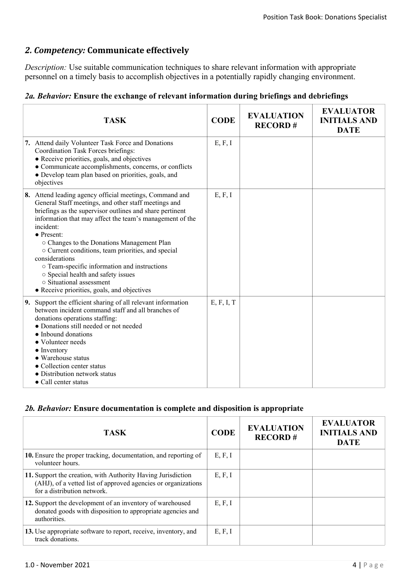# *2. Competency:* **Communicate effectively**

*Description:* Use suitable communication techniques to share relevant information with appropriate personnel on a timely basis to accomplish objectives in a potentially rapidly changing environment.

|  |  |  |  |  |  |  |  |  |  |  | 2a. Behavior: Ensure the exchange of relevant information during briefings and debriefings |
|--|--|--|--|--|--|--|--|--|--|--|--------------------------------------------------------------------------------------------|
|--|--|--|--|--|--|--|--|--|--|--|--------------------------------------------------------------------------------------------|

| <b>TASK</b>                                                                                                                                                                                                                                                                                                                                                                                                                                                                                                                                                       | <b>CODE</b> | <b>EVALUATION</b><br><b>RECORD#</b> | <b>EVALUATOR</b><br><b>INITIALS AND</b><br><b>DATE</b> |
|-------------------------------------------------------------------------------------------------------------------------------------------------------------------------------------------------------------------------------------------------------------------------------------------------------------------------------------------------------------------------------------------------------------------------------------------------------------------------------------------------------------------------------------------------------------------|-------------|-------------------------------------|--------------------------------------------------------|
| 7. Attend daily Volunteer Task Force and Donations<br>Coordination Task Forces briefings:<br>• Receive priorities, goals, and objectives<br>• Communicate accomplishments, concerns, or conflicts<br>• Develop team plan based on priorities, goals, and<br>objectives                                                                                                                                                                                                                                                                                            | E, F, I     |                                     |                                                        |
| 8. Attend leading agency official meetings, Command and<br>General Staff meetings, and other staff meetings and<br>briefings as the supervisor outlines and share pertinent<br>information that may affect the team's management of the<br>incident:<br>$\bullet$ Present:<br>• Changes to the Donations Management Plan<br>○ Current conditions, team priorities, and special<br>considerations<br>o Team-specific information and instructions<br>o Special health and safety issues<br>○ Situational assessment<br>• Receive priorities, goals, and objectives | E, F, I     |                                     |                                                        |
| Support the efficient sharing of all relevant information<br>9.<br>between incident command staff and all branches of<br>donations operations staffing:<br>• Donations still needed or not needed<br>• Inbound donations<br>• Volunteer needs<br>$\bullet$ Inventory<br>• Warehouse status<br>• Collection center status<br>• Distribution network status<br>• Call center status                                                                                                                                                                                 | E, F, I, T  |                                     |                                                        |

#### *2b. Behavior:* **Ensure documentation is complete and disposition is appropriate**

| TASK                                                                                                                                                         | <b>CODE</b> | <b>EVALUATION</b><br><b>RECORD#</b> | <b>EVALUATOR</b><br><b>INITIALS AND</b><br><b>DATE</b> |
|--------------------------------------------------------------------------------------------------------------------------------------------------------------|-------------|-------------------------------------|--------------------------------------------------------|
| 10. Ensure the proper tracking, documentation, and reporting of<br>volunteer hours.                                                                          | E, F, I     |                                     |                                                        |
| 11. Support the creation, with Authority Having Jurisdiction<br>(AHJ), of a vetted list of approved agencies or organizations<br>for a distribution network. | E, F, I     |                                     |                                                        |
| 12. Support the development of an inventory of warehoused<br>donated goods with disposition to appropriate agencies and<br>authorities.                      | E, F, I     |                                     |                                                        |
| 13. Use appropriate software to report, receive, inventory, and<br>track donations.                                                                          | E, F, I     |                                     |                                                        |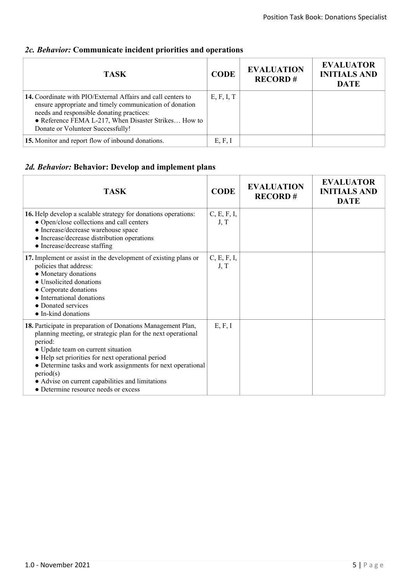## *2c. Behavior:* **Communicate incident priorities and operations**

| <b>TASK</b>                                                                                                                                                                                                                                                              | <b>CODE</b> | <b>EVALUATION</b><br><b>RECORD#</b> | <b>EVALUATOR</b><br><b>INITIALS AND</b><br><b>DATE</b> |
|--------------------------------------------------------------------------------------------------------------------------------------------------------------------------------------------------------------------------------------------------------------------------|-------------|-------------------------------------|--------------------------------------------------------|
| <b>14.</b> Coordinate with PIO/External Affairs and call centers to<br>ensure appropriate and timely communication of donation<br>needs and responsible donating practices:<br>• Reference FEMA L-217, When Disaster Strikes How to<br>Donate or Volunteer Successfully! | E, F, I, T  |                                     |                                                        |
| 15. Monitor and report flow of inbound donations.                                                                                                                                                                                                                        | E, F, I     |                                     |                                                        |

## *2d. Behavior:* **Behavior: Develop and implement plans**

| <b>TASK</b>                                                                                                                                                                                                                                                                                                                                                                                                | <b>CODE</b>         | <b>EVALUATION</b><br><b>RECORD#</b> | <b>EVALUATOR</b><br><b>INITIALS AND</b><br><b>DATE</b> |
|------------------------------------------------------------------------------------------------------------------------------------------------------------------------------------------------------------------------------------------------------------------------------------------------------------------------------------------------------------------------------------------------------------|---------------------|-------------------------------------|--------------------------------------------------------|
| 16. Help develop a scalable strategy for donations operations:<br>• Open/close collections and call centers<br>· Increase/decrease warehouse space<br>• Increase/decrease distribution operations<br>• Increase/decrease staffing                                                                                                                                                                          | C, E, F, I,<br>J, T |                                     |                                                        |
| 17. Implement or assist in the development of existing plans or<br>policies that address:<br>• Monetary donations<br>• Unsolicited donations<br>• Corporate donations<br>• International donations<br>• Donated services<br>$\bullet$ In-kind donations                                                                                                                                                    | C, E, F, I,<br>J, T |                                     |                                                        |
| 18. Participate in preparation of Donations Management Plan,<br>planning meeting, or strategic plan for the next operational<br>period:<br>• Update team on current situation<br>• Help set priorities for next operational period<br>• Determine tasks and work assignments for next operational<br>period(s)<br>• Advise on current capabilities and limitations<br>• Determine resource needs or excess | E, F, I             |                                     |                                                        |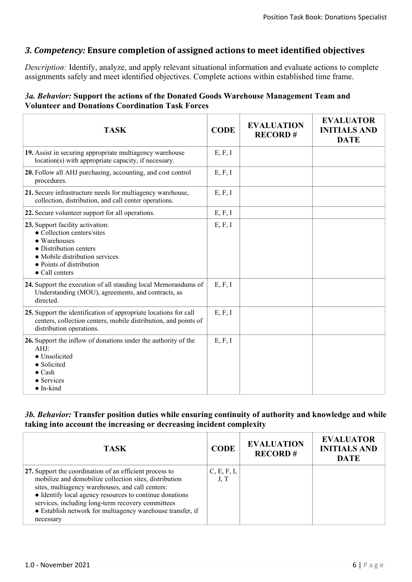## *3. Competency:* **Ensure completion of assigned actions to meet identified objectives**

*Description:* Identify, analyze, and apply relevant situational information and evaluate actions to complete assignments safely and meet identified objectives. Complete actions within established time frame.

#### *3a. Behavior:* **Support the actions of the Donated Goods Warehouse Management Team and Volunteer and Donations Coordination Task Forces**

| <b>TASK</b>                                                                                                                                                                                      | <b>CODE</b> | <b>EVALUATION</b><br><b>RECORD#</b> | <b>EVALUATOR</b><br><b>INITIALS AND</b><br><b>DATE</b> |
|--------------------------------------------------------------------------------------------------------------------------------------------------------------------------------------------------|-------------|-------------------------------------|--------------------------------------------------------|
| 19. Assist in securing appropriate multiagency warehouse<br>location(s) with appropriate capacity, if necessary.                                                                                 | E, F, I     |                                     |                                                        |
| 20. Follow all AHJ purchasing, accounting, and cost control<br>procedures.                                                                                                                       | E, F, I     |                                     |                                                        |
| 21. Secure infrastructure needs for multiagency warehouse,<br>collection, distribution, and call center operations.                                                                              | E, F, I     |                                     |                                                        |
| 22. Secure volunteer support for all operations.                                                                                                                                                 | E, F, I     |                                     |                                                        |
| 23. Support facility activation:<br>• Collection centers/sites<br>• Warehouses<br>• Distribution centers<br>• Mobile distribution services<br>• Points of distribution<br>$\bullet$ Call centers | E, F, I     |                                     |                                                        |
| 24. Support the execution of all standing local Memorandums of<br>Understanding (MOU), agreements, and contracts, as<br>directed.                                                                | E, F, I     |                                     |                                                        |
| 25. Support the identification of appropriate locations for call<br>centers, collection centers, mobile distribution, and points of<br>distribution operations.                                  | E, F, I     |                                     |                                                        |
| 26. Support the inflow of donations under the authority of the<br>AHJ:<br>· Unsolicited<br>• Solicited<br>$\bullet$ Cash<br>• Services<br>$\bullet$ In-kind                                      | E, F, I     |                                     |                                                        |

#### *3b. Behavior:* **Transfer position duties while ensuring continuity of authority and knowledge and while taking into account the increasing or decreasing incident complexity**

| <b>TASK</b>                                                                                                                                                                                                                                                                                                                                                      | <b>CODE</b>         | <b>EVALUATION</b><br><b>RECORD#</b> | <b>EVALUATOR</b><br><b>INITIALS AND</b><br><b>DATE</b> |
|------------------------------------------------------------------------------------------------------------------------------------------------------------------------------------------------------------------------------------------------------------------------------------------------------------------------------------------------------------------|---------------------|-------------------------------------|--------------------------------------------------------|
| 27. Support the coordination of an efficient process to<br>mobilize and demobilize collection sites, distribution<br>sites, multiagency warehouses, and call centers:<br>• Identify local agency resources to continue donations<br>services, including long-term recovery committees<br>• Establish network for multiagency warehouse transfer, if<br>necessary | C, E, F, I,<br>J, T |                                     |                                                        |